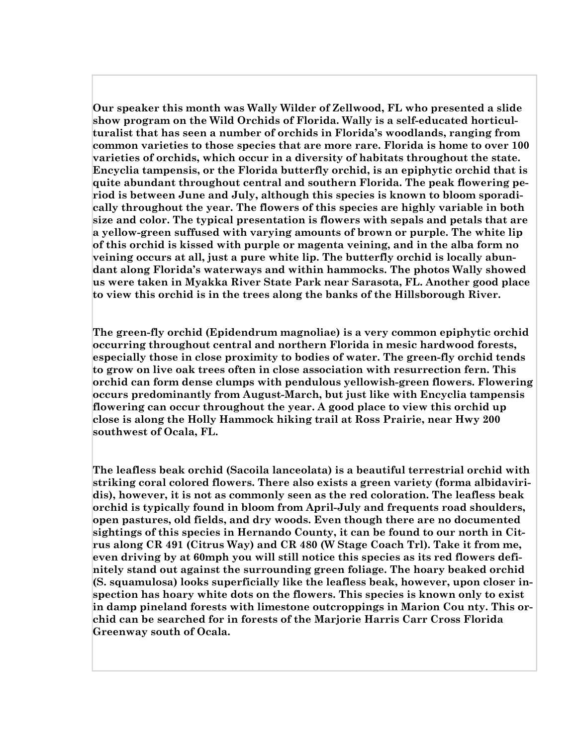Our speaker this month was Wally Wilder of Zellwood, FL who presented a slide show program on the Wild Orchids of Florida. Wally is a self-educated horticulturalist that has seen a number of orchids in Florida's woodlands, ranging from common varieties to those species that are more rare. Florida is home to over 100 varieties of orchids, which occur in a diversity of habitats throughout the state. Encyclia tampensis, or the Florida butterfly orchid, is an epiphytic orchid that is quite abundant throughout central and southern Florida. The peak flowering period is between June and July, although this species is known to bloom sporadically throughout the year. The flowers of this species are highly variable in both size and color. The typical presentation is flowers with sepals and petals that are a yellow-green suffused with varying amounts of brown or purple. The white lip of this orchid is kissed with purple or magenta veining, and in the alba form no veining occurs at all, just a pure white lip. The butterfly orchid is locally abundant along Florida's waterways and within hammocks. The photos Wally showed us were taken in Myakka River State Park near Sarasota, FL. Another good place to view this orchid is in the trees along the banks of the Hillsborough River.

The green-fly orchid (Epidendrum magnoliae) is a very common epiphytic orchid occurring throughout central and northern Florida in mesic hardwood forests, especially those in close proximity to bodies of water. The green-fly orchid tends to grow on live oak trees often in close association with resurrection fern. This orchid can form dense clumps with pendulous yellowish-green flowers. Flowering occurs predominantly from August-March, but just like with Encyclia tampensis flowering can occur throughout the year. A good place to view this orchid up close is along the Holly Hammock hiking trail at Ross Prairie, near Hwy 200 southwest of Ocala, FL.

The leafless beak orchid (Sacoila lanceolata) is a beautiful terrestrial orchid with striking coral colored flowers. There also exists a green variety (forma albidaviridis), however, it is not as commonly seen as the red coloration. The leafless beak orchid is typically found in bloom from April-July and frequents road shoulders, open pastures, old fields, and dry woods. Even though there are no documented sightings of this species in Hernando County, it can be found to our north in Citrus along CR 491 (Citrus Way) and CR 480 (W Stage Coach Trl). Take it from me, even driving by at 60mph you will still notice this species as its red flowers definitely stand out against the surrounding green foliage. The hoary beaked orchid (S. squamulosa) looks superficially like the leafless beak, however, upon closer inspection has hoary white dots on the flowers. This species is known only to exist in damp pineland forests with limestone outcroppings in Marion Cou nty. This orchid can be searched for in forests of the Marjorie Harris Carr Cross Florida Greenway south of Ocala.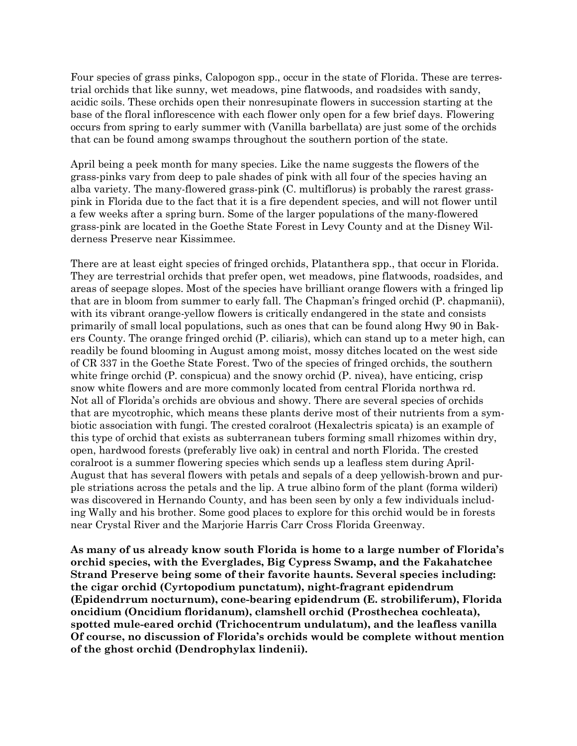Four species of grass pinks, Calopogon spp., occur in the state of Florida. These are terrestrial orchids that like sunny, wet meadows, pine flatwoods, and roadsides with sandy, acidic soils. These orchids open their nonresupinate flowers in succession starting at the base of the floral inflorescence with each flower only open for a few brief days. Flowering occurs from spring to early summer with (Vanilla barbellata) are just some of the orchids that can be found among swamps throughout the southern portion of the state.

April being a peek month for many species. Like the name suggests the flowers of the grass-pinks vary from deep to pale shades of pink with all four of the species having an alba variety. The many-flowered grass-pink (C. multiflorus) is probably the rarest grasspink in Florida due to the fact that it is a fire dependent species, and will not flower until a few weeks after a spring burn. Some of the larger populations of the many-flowered grass-pink are located in the Goethe State Forest in Levy County and at the Disney Wilderness Preserve near Kissimmee.

There are at least eight species of fringed orchids, Platanthera spp., that occur in Florida. They are terrestrial orchids that prefer open, wet meadows, pine flatwoods, roadsides, and areas of seepage slopes. Most of the species have brilliant orange flowers with a fringed lip that are in bloom from summer to early fall. The Chapman's fringed orchid (P. chapmanii), with its vibrant orange-yellow flowers is critically endangered in the state and consists primarily of small local populations, such as ones that can be found along Hwy 90 in Bakers County. The orange fringed orchid (P. ciliaris), which can stand up to a meter high, can readily be found blooming in August among moist, mossy ditches located on the west side of CR 337 in the Goethe State Forest. Two of the species of fringed orchids, the southern white fringe orchid (P. conspicua) and the snowy orchid (P. nivea), have enticing, crisp snow white flowers and are more commonly located from central Florida northwa rd. Not all of Florida's orchids are obvious and showy. There are several species of orchids that are mycotrophic, which means these plants derive most of their nutrients from a symbiotic association with fungi. The crested coralroot (Hexalectris spicata) is an example of this type of orchid that exists as subterranean tubers forming small rhizomes within dry, open, hardwood forests (preferably live oak) in central and north Florida. The crested coralroot is a summer flowering species which sends up a leafless stem during April-August that has several flowers with petals and sepals of a deep yellowish-brown and purple striations across the petals and the lip. A true albino form of the plant (forma wilderi) was discovered in Hernando County, and has been seen by only a few individuals including Wally and his brother. Some good places to explore for this orchid would be in forests near Crystal River and the Marjorie Harris Carr Cross Florida Greenway.

As many of us already know south Florida is home to a large number of Florida's orchid species, with the Everglades, Big Cypress Swamp, and the Fakahatchee Strand Preserve being some of their favorite haunts. Several species including: the cigar orchid (Cyrtopodium punctatum), night-fragrant epidendrum (Epidendrrum nocturnum), cone-bearing epidendrum (E. strobiliferum), Florida oncidium (Oncidium floridanum), clamshell orchid (Prosthechea cochleata), spotted mule-eared orchid (Trichocentrum undulatum), and the leafless vanilla Of course, no discussion of Florida's orchids would be complete without mention of the ghost orchid (Dendrophylax lindenii).